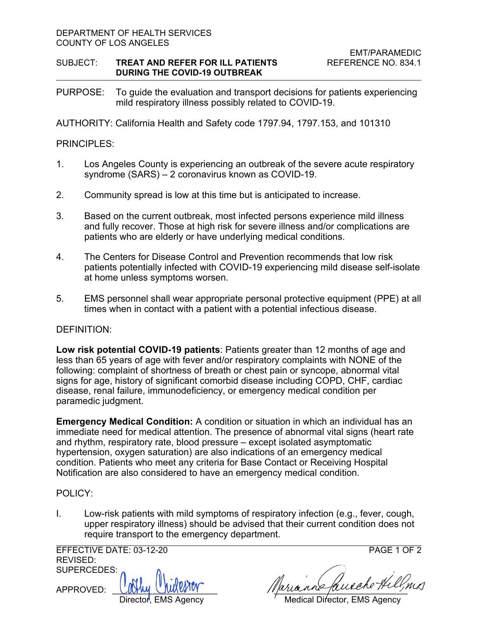#### DEPARTMENT OF HEALTH SERVICES COUNTY OF LOS ANGELES

## SUBJECT: **TREAT AND REFER FOR ILL PATIENTS** REFERENCE NO. 834.1 **DURING THE COVID-19 OUTBREAK**

PURPOSE: To guide the evaluation and transport decisions for patients experiencing mild respiratory illness possibly related to COVID-19.

AUTHORITY: California Health and Safety code 1797.94, 1797.153, and 101310

# PRINCIPLES:

- 1. Los Angeles County is experiencing an outbreak of the severe acute respiratory syndrome (SARS) – 2 coronavirus known as COVID-19.
- 2. Community spread is low at this time but is anticipated to increase.
- 3. Based on the current outbreak, most infected persons experience mild illness and fully recover. Those at high risk for severe illness and/or complications are patients who are elderly or have underlying medical conditions.
- 4. The Centers for Disease Control and Prevention recommends that low risk patients potentially infected with COVID-19 experiencing mild disease self-isolate at home unless symptoms worsen.
- 5. EMS personnel shall wear appropriate personal protective equipment (PPE) at all times when in contact with a patient with a potential infectious disease.

## DEFINITION:

**Low risk potential COVID-19 patients**: Patients greater than 12 months of age and less than 65 years of age with fever and/or respiratory complaints with NONE of the following: complaint of shortness of breath or chest pain or syncope, abnormal vital signs for age, history of significant comorbid disease including COPD, CHF, cardiac disease, renal failure, immunodeficiency, or emergency medical condition per paramedic judgment.

**Emergency Medical Condition:** A condition or situation in which an individual has an immediate need for medical attention. The presence of abnormal vital signs (heart rate and rhythm, respiratory rate, blood pressure – except isolated asymptomatic hypertension, oxygen saturation) are also indications of an emergency medical condition. Patients who meet any criteria for Base Contact or Receiving Hospital Notification are also considered to have an emergency medical condition.

## POLICY:

I. Low-risk patients with mild symptoms of respiratory infection (e.g., fever, cough, upper respiratory illness) should be advised that their current condition does not require transport to the emergency department.

EFFECTIVE DATE: 03-12-20 PAGE 1 OF 2 REVISED: SUPERCEDES:

APPROVED:

Director, EMS Agency / Medical Director, EMS Agency